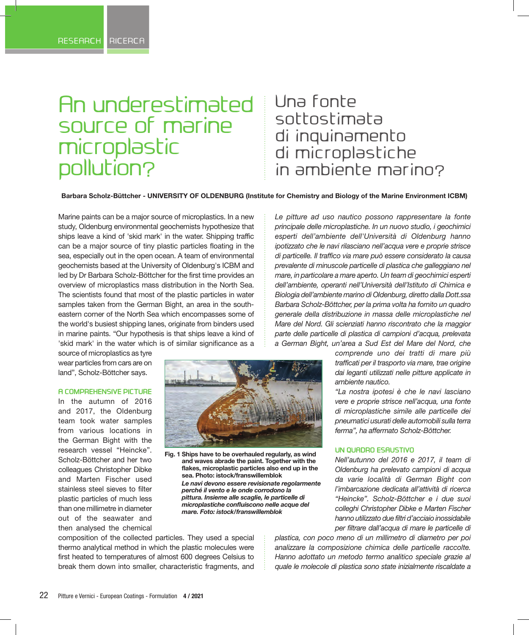# An underestimated source of marine microplastic pollution?

# Una fonte sottostimata di inquinamento di microplastiche in ambiente marino?

**Barbara Scholz-Büttcher - UNIVERSITY OF OLDENBURG (Institute for Chemistry and Biology of the Marine Environment ICBM)**

Marine paints can be a major source of microplastics. In a new study, Oldenburg environmental geochemists hypothesize that ships leave a kind of 'skid mark' in the water. Shipping traffic can be a major source of tiny plastic particles floating in the sea, especially out in the open ocean. A team of environmental geochemists based at the University of Oldenburg's ICBM and led by Dr Barbara Scholz-Böttcher for the first time provides an overview of microplastics mass distribution in the North Sea. The scientists found that most of the plastic particles in water samples taken from the German Bight, an area in the southeastern corner of the North Sea which encompasses some of the world's busiest shipping lanes, originate from binders used in marine paints. "Our hypothesis is that ships leave a kind of 'skid mark' in the water which is of similar significance as a

source of microplastics as tyre wear particles from cars are on land", Scholz-Böttcher says.

#### **A COMPREHENSIVE PICTURE**

In the autumn of 2016 and 2017, the Oldenburg team took water samples from various locations in the German Bight with the research vessel "Heincke". Scholz-Böttcher and her two colleagues Christopher Dibke and Marten Fischer used stainless steel sieves to filter plastic particles of much less than one millimetre in diameter out of the seawater and then analysed the chemical



**Fig. 1 Ships have to be overhauled regularly, as wind and waves abrade the paint. Together with the flakes, microplastic particles also end up in the sea. Photo: istock/franswillemblok**  *Le navi devono essere revisionate regolarmente perché il vento e le onde corrodono la pittura. Insieme alle scaglie, le particelle di microplastiche confluiscono nelle acque del mare. Foto: istock/franswillemblok*

*Le pitture ad uso nautico possono rappresentare la fonte principale delle microplastiche. In un nuovo studio, i geochimici esperti dell'ambiente dell'Università di Oldenburg hanno ipotizzato che le navi rilasciano nell'acqua vere e proprie strisce di particelle. Il traffico via mare può essere considerato la causa prevalente di minuscole particelle di plastica che galleggiano nel mare, in particolare a mare aperto. Un team di geochimici esperti dell'ambiente, operanti nell'Università dell'Istituto di Chimica e Biologia dell'ambiente marino di Oldenburg, diretto dalla Dott.ssa Barbara Scholz-Böttcher, per la prima volta ha fornito un quadro generale della distribuzione in massa delle microplastiche nel Mare del Nord. Gli scienziati hanno riscontrato che la maggior parte delle particelle di plastica di campioni d'acqua, prelevata a German Bight, un'area a Sud Est del Mare del Nord, che* 

> *comprende uno dei tratti di mare più trafficati per il trasporto via mare, trae origine dai leganti utilizzati nelle pitture applicate in ambiente nautico.*

> *"La nostra ipotesi è che le navi lasciano vere e proprie strisce nell'acqua, una fonte di microplastiche simile alle particelle dei pneumatici usurati delle automobili sulla terra ferma", ha affermato Scholz-Böttcher.*

#### **UN QUADRO ESAUSTIVO**

*Nell'autunno del 2016 e 2017, il team di Oldenburg ha prelevato campioni di acqua da varie località di German Bight con l'imbarcazione dedicata all'attività di ricerca "Heincke". Scholz-Böttcher e i due suoi colleghi Christopher Dibke e Marten Fischer hanno utilizzato due filtri d'acciaio inossidabile per filtrare dall'acqua di mare le particelle di* 

composition of the collected particles. They used a special thermo analytical method in which the plastic molecules were first heated to temperatures of almost 600 degrees Celsius to break them down into smaller, characteristic fragments, and *plastica, con poco meno di un millimetro di diametro per poi analizzare la composizione chimica delle particelle raccolte. Hanno adottato un metodo termo analitico speciale grazie al quale le molecole di plastica sono state inizialmente riscaldate a*